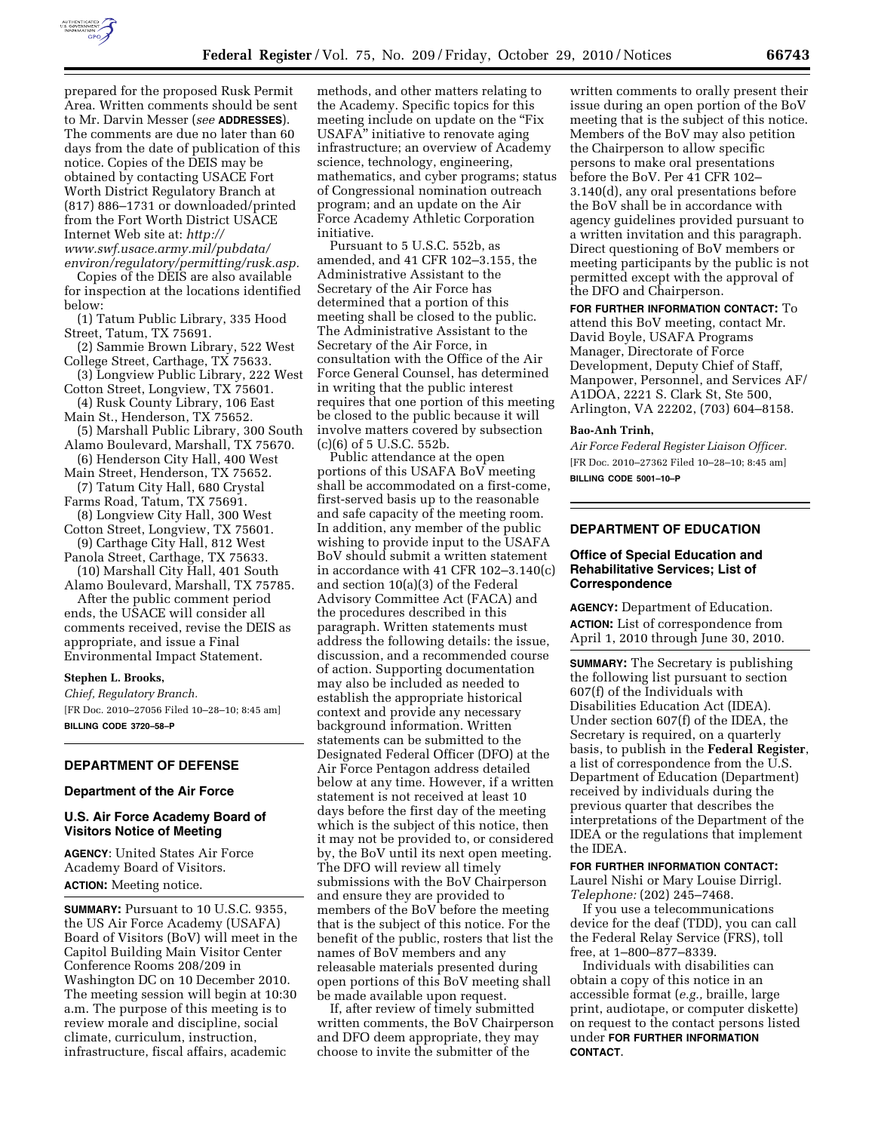

prepared for the proposed Rusk Permit Area. Written comments should be sent to Mr. Darvin Messer (*see* **ADDRESSES**). The comments are due no later than 60 days from the date of publication of this notice. Copies of the DEIS may be obtained by contacting USACE Fort Worth District Regulatory Branch at (817) 886–1731 or downloaded/printed from the Fort Worth District USACE Internet Web site at: *[http://](http://www.swf.usace.army.mil/pubdata/environ/regulatory/permitting/rusk.asp)  [www.swf.usace.army.mil/pubdata/](http://www.swf.usace.army.mil/pubdata/environ/regulatory/permitting/rusk.asp) [environ/regulatory/permitting/rusk.asp.](http://www.swf.usace.army.mil/pubdata/environ/regulatory/permitting/rusk.asp)* 

Copies of the DEIS are also available for inspection at the locations identified below:

(1) Tatum Public Library, 335 Hood Street, Tatum, TX 75691.

(2) Sammie Brown Library, 522 West College Street, Carthage, TX 75633.

(3) Longview Public Library, 222 West Cotton Street, Longview, TX 75601.

(4) Rusk County Library, 106 East Main St., Henderson, TX 75652.

(5) Marshall Public Library, 300 South Alamo Boulevard, Marshall, TX 75670.

(6) Henderson City Hall, 400 West Main Street, Henderson, TX 75652.

(7) Tatum City Hall, 680 Crystal Farms Road, Tatum, TX 75691.

(8) Longview City Hall, 300 West Cotton Street, Longview, TX 75601.

(9) Carthage City Hall, 812 West

Panola Street, Carthage, TX 75633. (10) Marshall City Hall, 401 South

Alamo Boulevard, Marshall, TX 75785. After the public comment period ends, the USACE will consider all comments received, revise the DEIS as appropriate, and issue a Final Environmental Impact Statement.

#### **Stephen L. Brooks,**

*Chief, Regulatory Branch.*  [FR Doc. 2010–27056 Filed 10–28–10; 8:45 am] **BILLING CODE 3720–58–P** 

#### **DEPARTMENT OF DEFENSE**

### **Department of the Air Force**

# **U.S. Air Force Academy Board of Visitors Notice of Meeting**

**AGENCY**: United States Air Force Academy Board of Visitors. **ACTION:** Meeting notice.

**SUMMARY:** Pursuant to 10 U.S.C. 9355, the US Air Force Academy (USAFA) Board of Visitors (BoV) will meet in the Capitol Building Main Visitor Center Conference Rooms 208/209 in Washington DC on 10 December 2010. The meeting session will begin at 10:30 a.m. The purpose of this meeting is to review morale and discipline, social climate, curriculum, instruction, infrastructure, fiscal affairs, academic

methods, and other matters relating to the Academy. Specific topics for this meeting include on update on the "Fix" USAFA'' initiative to renovate aging infrastructure; an overview of Academy science, technology, engineering, mathematics, and cyber programs; status of Congressional nomination outreach program; and an update on the Air Force Academy Athletic Corporation initiative.

Pursuant to 5 U.S.C. 552b, as amended, and 41 CFR 102–3.155, the Administrative Assistant to the Secretary of the Air Force has determined that a portion of this meeting shall be closed to the public. The Administrative Assistant to the Secretary of the Air Force, in consultation with the Office of the Air Force General Counsel, has determined in writing that the public interest requires that one portion of this meeting be closed to the public because it will involve matters covered by subsection (c)(6) of 5 U.S.C. 552b.

Public attendance at the open portions of this USAFA BoV meeting shall be accommodated on a first-come, first-served basis up to the reasonable and safe capacity of the meeting room. In addition, any member of the public wishing to provide input to the USAFA BoV should submit a written statement in accordance with 41 CFR 102–3.140(c) and section 10(a)(3) of the Federal Advisory Committee Act (FACA) and the procedures described in this paragraph. Written statements must address the following details: the issue, discussion, and a recommended course of action. Supporting documentation may also be included as needed to establish the appropriate historical context and provide any necessary background information. Written statements can be submitted to the Designated Federal Officer (DFO) at the Air Force Pentagon address detailed below at any time. However, if a written statement is not received at least 10 days before the first day of the meeting which is the subject of this notice, then it may not be provided to, or considered by, the BoV until its next open meeting. The DFO will review all timely submissions with the BoV Chairperson and ensure they are provided to members of the BoV before the meeting that is the subject of this notice. For the benefit of the public, rosters that list the names of BoV members and any releasable materials presented during open portions of this BoV meeting shall be made available upon request.

If, after review of timely submitted written comments, the BoV Chairperson and DFO deem appropriate, they may choose to invite the submitter of the

written comments to orally present their issue during an open portion of the BoV meeting that is the subject of this notice. Members of the BoV may also petition the Chairperson to allow specific persons to make oral presentations before the BoV. Per 41 CFR 102– 3.140(d), any oral presentations before the BoV shall be in accordance with agency guidelines provided pursuant to a written invitation and this paragraph. Direct questioning of BoV members or meeting participants by the public is not permitted except with the approval of the DFO and Chairperson.

**FOR FURTHER INFORMATION CONTACT:** To attend this BoV meeting, contact Mr. David Boyle, USAFA Programs Manager, Directorate of Force Development, Deputy Chief of Staff, Manpower, Personnel, and Services AF/ A1DOA, 2221 S. Clark St, Ste 500, Arlington, VA 22202, (703) 604–8158.

# **Bao-Anh Trinh,**

*Air Force Federal Register Liaison Officer.*  [FR Doc. 2010–27362 Filed 10–28–10; 8:45 am] **BILLING CODE 5001–10–P** 

# **DEPARTMENT OF EDUCATION**

# **Office of Special Education and Rehabilitative Services; List of Correspondence**

**AGENCY:** Department of Education. **ACTION:** List of correspondence from April 1, 2010 through June 30, 2010.

**SUMMARY:** The Secretary is publishing the following list pursuant to section 607(f) of the Individuals with Disabilities Education Act (IDEA). Under section 607(f) of the IDEA, the Secretary is required, on a quarterly basis, to publish in the **Federal Register**, a list of correspondence from the U.S. Department of Education (Department) received by individuals during the previous quarter that describes the interpretations of the Department of the IDEA or the regulations that implement the IDEA.

#### **FOR FURTHER INFORMATION CONTACT:**

Laurel Nishi or Mary Louise Dirrigl. *Telephone:* (202) 245–7468.

If you use a telecommunications device for the deaf (TDD), you can call the Federal Relay Service (FRS), toll free, at 1–800–877–8339.

Individuals with disabilities can obtain a copy of this notice in an accessible format (*e.g.,* braille, large print, audiotape, or computer diskette) on request to the contact persons listed under **FOR FURTHER INFORMATION CONTACT**.